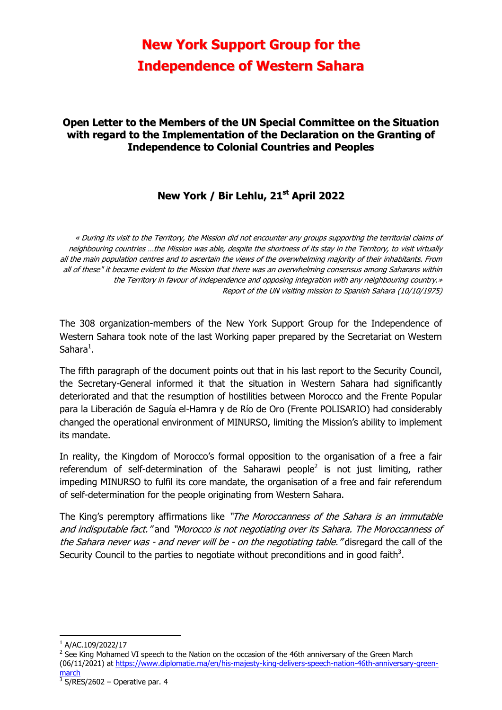# **New York Support Group for the Independence of Western Sahara**

### **Open Letter to the Members of the UN Special Committee on the Situation with regard to the Implementation of the Declaration on the Granting of Independence to Colonial Countries and Peoples**

## **New York / Bir Lehlu, 21 st April 2022**

« During its visit to the Territory, the Mission did not encounter any groups supporting the territorial claims of neighbouring countries …the Mission was able, despite the shortness of its stay in the Territory, to visit virtually all the main population centres and to ascertain the views of the overwhelming majority of their inhabitants. From all of these" it became evident to the Mission that there was an overwhelming consensus among Saharans within the Territory in favour of independence and opposing integration with any neighbouring country.» Report of the UN visiting mission to Spanish Sahara (10/10/1975)

The 308 organization-members of the New York Support Group for the Independence of Western Sahara took note of the last Working paper prepared by the Secretariat on Western Sahara $^1$ .

The fifth paragraph of the document points out that in his last report to the Security Council, the Secretary-General informed it that the situation in Western Sahara had significantly deteriorated and that the resumption of hostilities between Morocco and the Frente Popular para la Liberación de Saguía el-Hamra y de Río de Oro (Frente POLISARIO) had considerably changed the operational environment of MINURSO, limiting the Mission's ability to implement its mandate.

In reality, the Kingdom of Morocco's formal opposition to the organisation of a free a fair referendum of self-determination of the Saharawi people<sup>2</sup> is not just limiting, rather impeding MINURSO to fulfil its core mandate, the organisation of a free and fair referendum of self-determination for the people originating from Western Sahara.

The King's peremptory affirmations like "The Moroccanness of the Sahara is an immutable and indisputable fact." and "Morocco is not negotiating over its Sahara. The Moroccanness of the Sahara never was - and never will be - on the negotiating table. "disregard the call of the Security Council to the parties to negotiate without preconditions and in good faith<sup>3</sup>.

**.** 

 $1$  A/AC.109/2022/17

<sup>&</sup>lt;sup>2</sup> See King Mohamed VI speech to the Nation on the occasion of the 46th anniversary of the Green March (06/11/2021) at [https://www.diplomatie.ma/en/his-majesty-king-delivers-speech-nation-46th-anniversary-green](https://www.diplomatie.ma/en/his-majesty-king-delivers-speech-nation-46th-anniversary-green-march)[march](https://www.diplomatie.ma/en/his-majesty-king-delivers-speech-nation-46th-anniversary-green-march)

 $3$  S/RES/2602 – Operative par. 4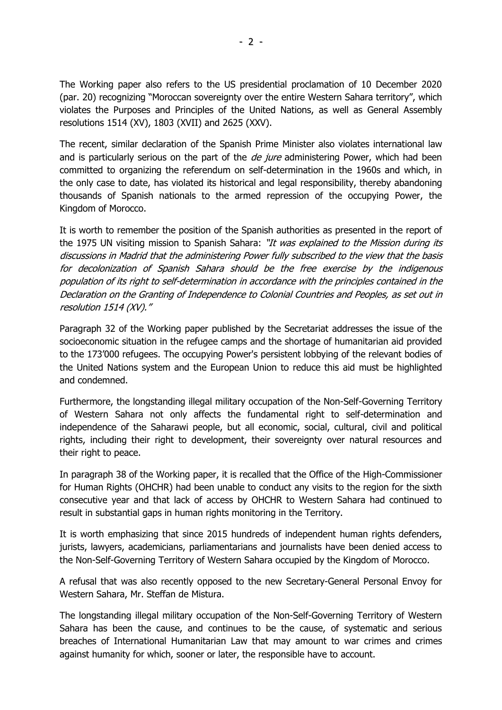The Working paper also refers to the US presidential proclamation of 10 December 2020 (par. 20) recognizing "Moroccan sovereignty over the entire Western Sahara territory", which violates the Purposes and Principles of the United Nations, as well as General Assembly resolutions 1514 (XV), 1803 (XVII) and 2625 (XXV).

The recent, similar declaration of the Spanish Prime Minister also violates international law and is particularly serious on the part of the *de jure* administering Power, which had been committed to organizing the referendum on self-determination in the 1960s and which, in the only case to date, has violated its historical and legal responsibility, thereby abandoning thousands of Spanish nationals to the armed repression of the occupying Power, the Kingdom of Morocco.

It is worth to remember the position of the Spanish authorities as presented in the report of the 1975 UN visiting mission to Spanish Sahara: "It was explained to the Mission during its discussions in Madrid that the administering Power fully subscribed to the view that the basis for decolonization of Spanish Sahara should be the free exercise by the indigenous population of its right to self-determination in accordance with the principles contained in the Declaration on the Granting of Independence to Colonial Countries and Peoples, as set out in resolution 1514 (XV)."

Paragraph 32 of the Working paper published by the Secretariat addresses the issue of the socioeconomic situation in the refugee camps and the shortage of humanitarian aid provided to the 173'000 refugees. The occupying Power's persistent lobbying of the relevant bodies of the United Nations system and the European Union to reduce this aid must be highlighted and condemned.

Furthermore, the longstanding illegal military occupation of the Non-Self-Governing Territory of Western Sahara not only affects the fundamental right to self-determination and independence of the Saharawi people, but all economic, social, cultural, civil and political rights, including their right to development, their sovereignty over natural resources and their right to peace.

In paragraph 38 of the Working paper, it is recalled that the Office of the High-Commissioner for Human Rights (OHCHR) had been unable to conduct any visits to the region for the sixth consecutive year and that lack of access by OHCHR to Western Sahara had continued to result in substantial gaps in human rights monitoring in the Territory.

It is worth emphasizing that since 2015 hundreds of independent human rights defenders, jurists, lawyers, academicians, parliamentarians and journalists have been denied access to the Non-Self-Governing Territory of Western Sahara occupied by the Kingdom of Morocco.

A refusal that was also recently opposed to the new Secretary-General Personal Envoy for Western Sahara, Mr. Steffan de Mistura.

The longstanding illegal military occupation of the Non-Self-Governing Territory of Western Sahara has been the cause, and continues to be the cause, of systematic and serious breaches of International Humanitarian Law that may amount to war crimes and crimes against humanity for which, sooner or later, the responsible have to account.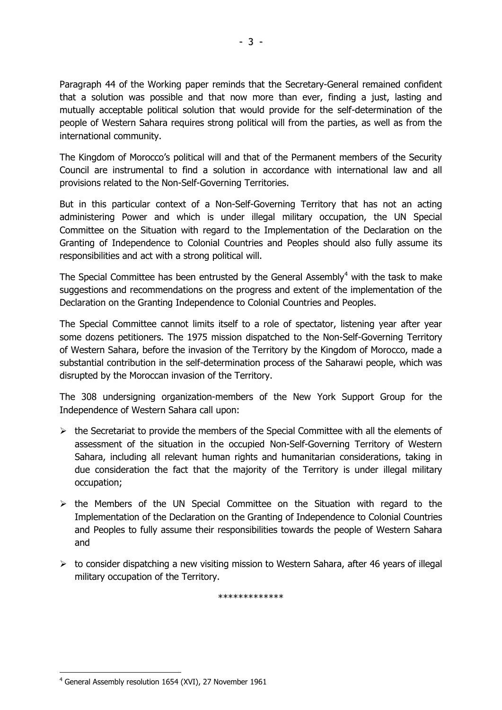Paragraph 44 of the Working paper reminds that the Secretary-General remained confident that a solution was possible and that now more than ever, finding a just, lasting and mutually acceptable political solution that would provide for the self-determination of the people of Western Sahara requires strong political will from the parties, as well as from the international community.

The Kingdom of Morocco's political will and that of the Permanent members of the Security Council are instrumental to find a solution in accordance with international law and all provisions related to the Non-Self-Governing Territories.

But in this particular context of a Non-Self-Governing Territory that has not an acting administering Power and which is under illegal military occupation, the UN Special Committee on the Situation with regard to the Implementation of the Declaration on the Granting of Independence to Colonial Countries and Peoples should also fully assume its responsibilities and act with a strong political will.

The Special Committee has been entrusted by the General Assembly<sup>4</sup> with the task to make suggestions and recommendations on the progress and extent of the implementation of the Declaration on the Granting Independence to Colonial Countries and Peoples.

The Special Committee cannot limits itself to a role of spectator, listening year after year some dozens petitioners. The 1975 mission dispatched to the Non-Self-Governing Territory of Western Sahara, before the invasion of the Territory by the Kingdom of Morocco, made a substantial contribution in the self-determination process of the Saharawi people, which was disrupted by the Moroccan invasion of the Territory.

The 308 undersigning organization-members of the New York Support Group for the Independence of Western Sahara call upon:

- $\triangleright$  the Secretariat to provide the members of the Special Committee with all the elements of assessment of the situation in the occupied Non-Self-Governing Territory of Western Sahara, including all relevant human rights and humanitarian considerations, taking in due consideration the fact that the majority of the Territory is under illegal military occupation;
- $\triangleright$  the Members of the UN Special Committee on the Situation with regard to the Implementation of the Declaration on the Granting of Independence to Colonial Countries and Peoples to fully assume their responsibilities towards the people of Western Sahara and
- $\triangleright$  to consider dispatching a new visiting mission to Western Sahara, after 46 years of illegal military occupation of the Territory.

\*\*\*\*\*\*\*\*\*\*\*\*\*

**<sup>.</sup>** <sup>4</sup> General Assembly resolution 1654 (XVI), 27 November 1961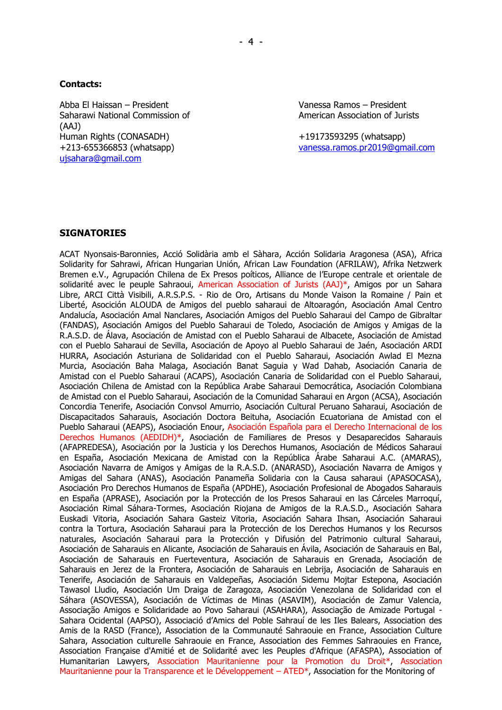#### **Contacts:**

Abba El Haissan – President Vanessa Ramos – President Saharawi National Commission of American Association of Jurists (AAJ) Human Rights (CONASADH) +19173593295 (whatsapp) [ujsahara@gmail.com](mailto:ujsahara@gmail.com)

+213-655366853 (whatsapp) [vanessa.ramos.pr2019@gmail.com](mailto:vanessa.ramos.pr2019@gmail.com)

### **SIGNATORIES**

ACAT Nyonsais-Baronnies, Acció Solidària amb el Sàhara, Acción Solidaria Aragonesa (ASA), Africa Solidarity for Sahrawi, African Hungarian Unión, African Law Foundation (AFRILAW), Afrika Netzwerk Bremen e.V., Agrupación Chilena de Ex Presos poíticos, Alliance de l'Europe centrale et orientale de solidarité avec le peuple Sahraoui, American Association of Jurists (AAJ)\*, Amigos por un Sahara Libre, ARCI Città Visibili, A.R.S.P.S. - Rio de Oro, Artisans du Monde Vaison la Romaine / Pain et Liberté, Asocición ALOUDA de Amigos del pueblo saharaui de Altoaragón, Asociación Amal Centro Andalucía, Asociación Amal Nanclares, Asociación Amigos del Pueblo Saharaui del Campo de Gibraltar (FANDAS), Asociación Amigos del Pueblo Saharaui de Toledo, Asociación de Amigos y Amigas de la R.A.S.D. de Álava, Asociación de Amistad con el Pueblo Saharaui de Albacete, Asociación de Amistad con el Pueblo Saharaui de Sevilla, Asociación de Apoyo al Pueblo Saharaui de Jaén, Asociación ARDI HURRA, Asociación Asturiana de Solidaridad con el Pueblo Saharaui, Asociación Awlad El Mezna Murcia, Asociación Baha Malaga, Asociación Banat Saguia y Wad Dahab, Asociación Canaria de Amistad con el Pueblo Saharaui (ACAPS), Asociación Canaria de Solidaridad con el Pueblo Saharaui, Asociación Chilena de Amistad con la República Arabe Saharaui Democrática, Asociación Colombiana de Amistad con el Pueblo Saharaui, Asociación de la Comunidad Saharaui en Argon (ACSA), Asociación Concordia Tenerife, Asociación Convsol Amurrio, Asociación Cultural Peruano Saharaui, Asociación de Discapacitados Saharauis, Asociación Doctora Beituha, Asociación Ecuatoriana de Amistad con el Pueblo Saharaui (AEAPS), Asociación Enour, Asociación Española para el Derecho Internacional de los Derechos Humanos (AEDIDH)\*, Asociación de Familiares de Presos y Desaparecidos Saharauis (AFAPREDESA), Asociación por la Justicia y los Derechos Humanos, Asociación de Médicos Saharaui en España, Asociación Mexicana de Amistad con la República Árabe Saharaui A.C. (AMARAS), Asociación Navarra de Amigos y Amigas de la R.A.S.D. (ANARASD), Asociación Navarra de Amigos y Amigas del Sahara (ANAS), Asociación Panameña Solidaria con la Causa saharaui (APASOCASA), Asociación Pro Derechos Humanos de España (APDHE), Asociación Profesional de Abogados Saharauis en España (APRASE), Asociación por la Protección de los Presos Saharaui en las Cárceles Marroquí, Asociación Rimal Sáhara-Tormes, Asociación Riojana de Amigos de la R.A.S.D., Asociación Sahara Euskadi Vitoria, Asociación Sahara Gasteiz Vitoria, Asociación Sahara Ihsan, Asociación Saharaui contra la Tortura, Asociación Saharaui para la Protección de los Derechos Humanos y los Recursos naturales, Asociación Saharaui para la Protección y Difusión del Patrimonio cultural Saharaui, Asociación de Saharauis en Alicante, Asociación de Saharauis en Ávila, Asociación de Saharauis en Bal, Asociación de Saharauis en Fuerteventura, Asociación de Saharauis en Grenada, Asociación de Saharauis en Jerez de la Frontera, Asociación de Saharauis en Lebrija, Asociación de Saharauis en Tenerife, Asociación de Saharauis en Valdepeñas, Asociación Sidemu Mojtar Estepona, Asociación Tawasol Lludio, Asociación Um Draiga de Zaragoza, Asociación Venezolana de Solidaridad con el Sáhara (ASOVESSA), Asociación de Víctimas de Minas (ASAVIM), Asociación de Zamur Valencia, Associação Amigos e Solidaridade ao Povo Saharaui (ASAHARA), Associação de Amizade Portugal - Sahara Ocidental (AAPSO), Associació d'Amics del Poble Sahrauí de les Iles Balears, Association des Amis de la RASD (France), Association de la Communauté Sahraouie en France, Association Culture Sahara, Association culturelle Sahraouie en France, Association des Femmes Sahraouies en France, Association Française d'Amitié et de Solidarité avec les Peuples d'Afrique (AFASPA), Association of Humanitarian Lawyers, Association Mauritanienne pour la Promotion du Droit\*, Association Mauritanienne pour la Transparence et le Développement – ATED\*, Association for the Monitoring of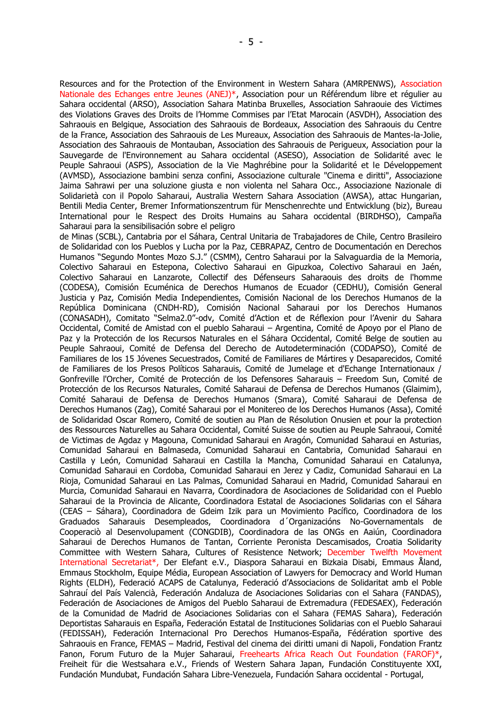Resources and for the Protection of the Environment in Western Sahara (AMRPENWS), Association Nationale des Echanges entre Jeunes (ANEJ)\*, Association pour un Référendum libre et régulier au Sahara occidental (ARSO), Association Sahara Matinba Bruxelles, Association Sahraouie des Victimes des Violations Graves des Droits de l'Homme Commises par l'Etat Marocain (ASVDH), Association des Sahraouis en Belgique, Association des Sahraouis de Bordeaux, Association des Sahraouis du Centre de la France, Association des Sahraouis de Les Mureaux, Association des Sahraouis de Mantes-la-Jolie, Association des Sahraouis de Montauban, Association des Sahraouis de Perigueux, Association pour la Sauvegarde de l'Environnement au Sahara occidental (ASESO), Association de Solidarité avec le Peuple Sahraoui (ASPS), Association de la Vie Maghrébine pour la Solidarité et le Développement (AVMSD), Associazione bambini senza confini, Associazione culturale "Cinema e diritti", Associazione Jaima Sahrawi per una soluzione giusta e non violenta nel Sahara Occ., Associazione Nazionale di Solidarietà con il Popolo Saharaui, Australia Western Sahara Association (AWSA), attac Hungarian, Bentili Media Center, Bremer Informationszentrum für Menschenrechte und Entwicklung (biz), Bureau International pour le Respect des Droits Humains au Sahara occidental (BIRDHSO), Campaña Saharaui para la sensibilisación sobre el peligro

de Minas (SCBL), Cantabria por el Sáhara, Central Unitaria de Trabajadores de Chile, Centro Brasileiro de Solidaridad con los Pueblos y Lucha por la Paz, CEBRAPAZ, Centro de Documentación en Derechos Humanos "Segundo Montes Mozo S.J." (CSMM), Centro Saharaui por la Salvaguardia de la Memoria, Colectivo Saharaui en Estepona, Colectivo Saharaui en Gipuzkoa, Colectivo Saharaui en Jaén, Colectivo Saharaui en Lanzarote, Collectif des Défenseurs Saharaouis des droits de l'homme (CODESA), Comisión Ecuménica de Derechos Humanos de Ecuador (CEDHU), Comisión General Justicia y Paz, Comisión Media Independientes, Comisión Nacional de los Derechos Humanos de la República Dominicana (CNDH-RD), Comisión Nacional Saharaui por los Derechos Humanos (CONASADH), Comitato "Selma2.0"-odv, Comité d'Action et de Réflexion pour l'Avenir du Sahara Occidental, Comité de Amistad con el pueblo Saharaui – Argentina, Comité de Apoyo por el Plano de Paz y la Protección de los Recursos Naturales en el Sáhara Occidental, Comité Belge de soutien au Peuple Sahraoui, Comité de Defensa del Derecho de Autodeterminación (CODAPSO), Comité de Familiares de los 15 Jóvenes Secuestrados, Comité de Familiares de Mártires y Desaparecidos, Comité de Familiares de los Presos Políticos Saharauis, Comité de Jumelage et d'Echange Internationaux / Gonfreville l'Orcher, Comité de Protección de los Defensores Saharauis – Freedom Sun, Comité de Protección de los Recursos Naturales, Comité Saharaui de Defensa de Derechos Humanos (Glaimim), Comité Saharaui de Defensa de Derechos Humanos (Smara), Comité Saharaui de Defensa de Derechos Humanos (Zag), Comité Saharaui por el Monitereo de los Derechos Humanos (Assa), Comité de Solidaridad Oscar Romero, Comité de soutien au Plan de Résolution Onusien et pour la protection des Ressources Naturelles au Sahara Occidental, Comité Suisse de soutien au Peuple Sahraoui, Comité de Victimas de Agdaz y Magouna, Comunidad Saharaui en Aragón, Comunidad Saharaui en Asturias, Comunidad Saharaui en Balmaseda, Comunidad Saharaui en Cantabria, Comunidad Saharaui en Castilla y León, Comunidad Saharaui en Castilla la Mancha, Comunidad Saharaui en Catalunya, Comunidad Saharaui en Cordoba, Comunidad Saharaui en Jerez y Cadiz, Comunidad Saharaui en La Rioja, Comunidad Saharaui en Las Palmas, Comunidad Saharaui en Madrid, Comunidad Saharaui en Murcia, Comunidad Saharaui en Navarra, Coordinadora de Asociaciones de Solidaridad con el Pueblo Saharaui de la Provincia de Alicante, Coordinadora Estatal de Asociaciones Solidarias con el Sáhara (CEAS – Sáhara), Coordinadora de Gdeim Izik para un Movimiento Pacífico, Coordinadora de los Graduados Saharauis Desempleados, Coordinadora d´Organizacións No-Governamentals de Cooperaciò al Desenvolupament (CONGDIB), Coordinadora de las ONGs en Aaiún, Coordinadora Saharaui de Derechos Humanos de Tantan, Corriente Peronista Descamisados, Croatia Solidarity Committee with Western Sahara, Cultures of Resistence Network; December Twelfth Movement International Secretariat\*, Der Elefant e.V., Diaspora Saharaui en Bizkaia Disabi, Emmaus Åland, Emmaus Stockholm, Equipe Média, European Association of Lawyers for Democracy and World Human Rights (ELDH), Federació ACAPS de Catalunya, Federació d'Associacions de Solidaritat amb el Poble Sahrauí del País Valencià, Federación Andaluza de Asociaciones Solidarias con el Sahara (FANDAS), Federación de Asociaciones de Amigos del Pueblo Saharaui de Extremadura (FEDESAEX), Federación de la Comunidad de Madrid de Asociaciones Solidarias con el Sahara (FEMAS Sahara), Federación Deportistas Saharauis en España, Federación Estatal de Instituciones Solidarias con el Pueblo Saharaui (FEDISSAH), Federación Internacional Pro Derechos Humanos-España, Fédération sportive des Sahraouis en France, FEMAS – Madrid, Festival del cinema dei diritti umani di Napoli, Fondation Frantz Fanon, Forum Futuro de la Mujer Saharaui, Freehearts Africa Reach Out Foundation (FAROF)\*, Freiheit für die Westsahara e.V., Friends of Western Sahara Japan, Fundación Constituyente XXI, Fundación Mundubat, Fundación Sahara Libre-Venezuela, Fundación Sahara occidental - Portugal,